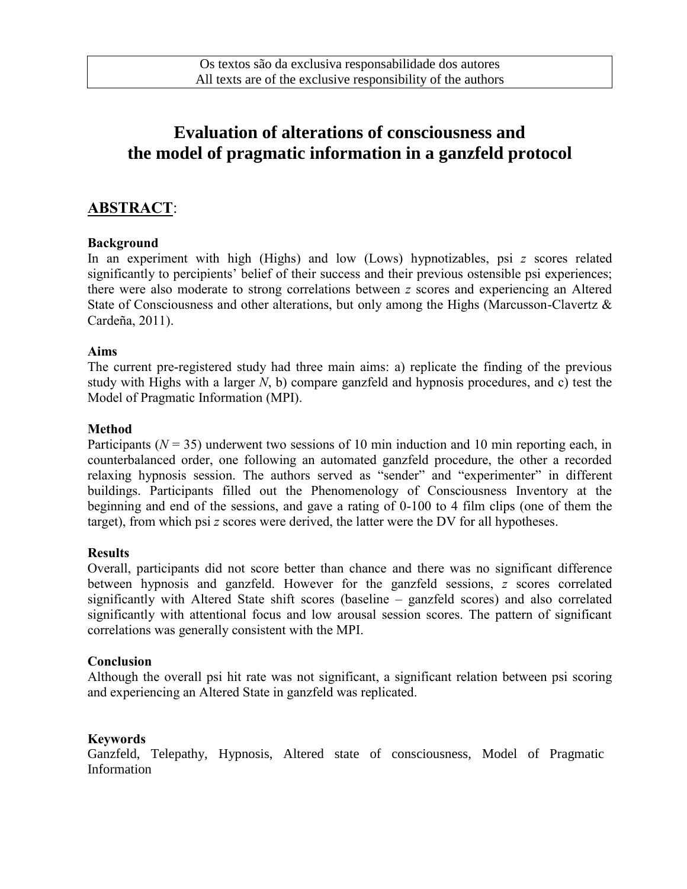# **Evaluation of alterations of consciousness and the model of pragmatic information in a ganzfeld protocol**

### **ABSTRACT**:

#### **Background**

In an experiment with high (Highs) and low (Lows) hypnotizables, psi *z* scores related significantly to percipients' belief of their success and their previous ostensible psi experiences; there were also moderate to strong correlations between *z* scores and experiencing an Altered State of Consciousness and other alterations, but only among the Highs (Marcusson-Clavertz & Cardeña, 2011).

#### **Aims**

The current pre-registered study had three main aims: a) replicate the finding of the previous study with Highs with a larger *N*, b) compare ganzfeld and hypnosis procedures, and c) test the Model of Pragmatic Information (MPI).

#### **Method**

Participants ( $N = 35$ ) underwent two sessions of 10 min induction and 10 min reporting each, in counterbalanced order, one following an automated ganzfeld procedure, the other a recorded relaxing hypnosis session. The authors served as "sender" and "experimenter" in different buildings. Participants filled out the Phenomenology of Consciousness Inventory at the beginning and end of the sessions, and gave a rating of 0-100 to 4 film clips (one of them the target), from which psi *z* scores were derived, the latter were the DV for all hypotheses.

#### **Results**

Overall, participants did not score better than chance and there was no significant difference between hypnosis and ganzfeld. However for the ganzfeld sessions, *z* scores correlated significantly with Altered State shift scores (baseline – ganzfeld scores) and also correlated significantly with attentional focus and low arousal session scores. The pattern of significant correlations was generally consistent with the MPI.

#### **Conclusion**

Although the overall psi hit rate was not significant, a significant relation between psi scoring and experiencing an Altered State in ganzfeld was replicated.

#### **Keywords**

Ganzfeld, Telepathy, Hypnosis, Altered state of consciousness, Model of Pragmatic Information